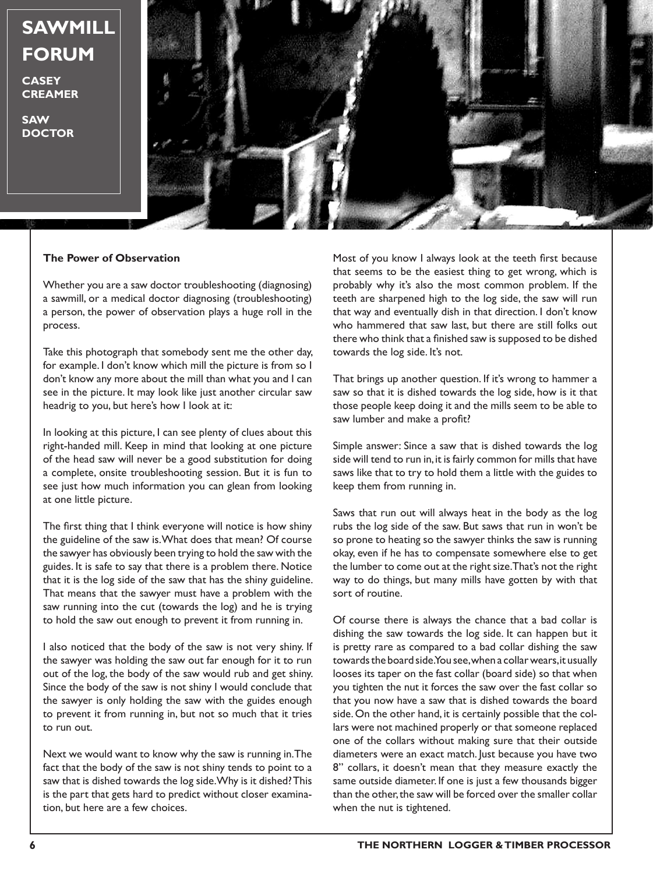## **SAWMILL FORUM**

**CASEY CREAMER**

**SAW DOCTOR**



## **The Power of Observation**

Whether you are a saw doctor troubleshooting (diagnosing) a sawmill, or a medical doctor diagnosing (troubleshooting) a person, the power of observation plays a huge roll in the process.

Take this photograph that somebody sent me the other day, for example. I don't know which mill the picture is from so I don't know any more about the mill than what you and I can see in the picture. It may look like just another circular saw headrig to you, but here's how I look at it:

In looking at this picture, I can see plenty of clues about this right-handed mill. Keep in mind that looking at one picture of the head saw will never be a good substitution for doing a complete, onsite troubleshooting session. But it is fun to see just how much information you can glean from looking at one little picture.

The first thing that I think everyone will notice is how shiny the guideline of the saw is. What does that mean? Of course the sawyer has obviously been trying to hold the saw with the guides. It is safe to say that there is a problem there. Notice that it is the log side of the saw that has the shiny guideline. That means that the sawyer must have a problem with the saw running into the cut (towards the log) and he is trying to hold the saw out enough to prevent it from running in.

I also noticed that the body of the saw is not very shiny. If the sawyer was holding the saw out far enough for it to run out of the log, the body of the saw would rub and get shiny. Since the body of the saw is not shiny I would conclude that the sawyer is only holding the saw with the guides enough to prevent it from running in, but not so much that it tries to run out.

Next we would want to know why the saw is running in. The fact that the body of the saw is not shiny tends to point to a saw that is dished towards the log side. Why is it dished? This is the part that gets hard to predict without closer examination, but here are a few choices.

Most of you know I always look at the teeth first because that seems to be the easiest thing to get wrong, which is probably why it's also the most common problem. If the teeth are sharpened high to the log side, the saw will run that way and eventually dish in that direction. I don't know who hammered that saw last, but there are still folks out there who think that a finished saw is supposed to be dished towards the log side. It's not.

That brings up another question. If it's wrong to hammer a saw so that it is dished towards the log side, how is it that those people keep doing it and the mills seem to be able to saw lumber and make a profit?

Simple answer: Since a saw that is dished towards the log side will tend to run in, it is fairly common for mills that have saws like that to try to hold them a little with the guides to keep them from running in.

Saws that run out will always heat in the body as the log rubs the log side of the saw. But saws that run in won't be so prone to heating so the sawyer thinks the saw is running okay, even if he has to compensate somewhere else to get the lumber to come out at the right size. That's not the right way to do things, but many mills have gotten by with that sort of routine.

Of course there is always the chance that a bad collar is dishing the saw towards the log side. It can happen but it is pretty rare as compared to a bad collar dishing the saw towards the board side. You see, when a collar wears, it usually looses its taper on the fast collar (board side) so that when you tighten the nut it forces the saw over the fast collar so that you now have a saw that is dished towards the board side. On the other hand, it is certainly possible that the collars were not machined properly or that someone replaced one of the collars without making sure that their outside diameters were an exact match. Just because you have two 8" collars, it doesn't mean that they measure exactly the same outside diameter. If one is just a few thousands bigger than the other, the saw will be forced over the smaller collar when the nut is tightened.